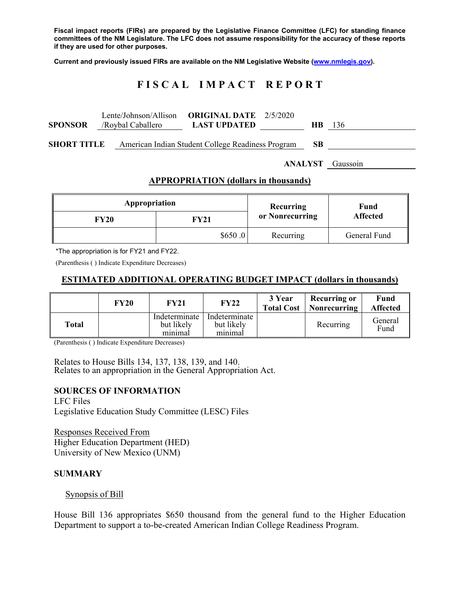**Fiscal impact reports (FIRs) are prepared by the Legislative Finance Committee (LFC) for standing finance committees of the NM Legislature. The LFC does not assume responsibility for the accuracy of these reports if they are used for other purposes.** 

**Current and previously issued FIRs are available on the NM Legislative Website (www.nmlegis.gov).** 

# **F I S C A L I M P A C T R E P O R T**

| <b>SPONSOR</b>     | /Roybal Caballero | Lente/Johnson/Allison <b>ORIGINAL DATE</b> 2/5/2020<br><b>LAST UPDATED</b> |  | HB. | 136                     |
|--------------------|-------------------|----------------------------------------------------------------------------|--|-----|-------------------------|
| <b>SHORT TITLE</b> |                   | American Indian Student College Readiness Program<br><b>SB</b>             |  |     |                         |
|                    |                   |                                                                            |  |     | <b>ANALYST</b> Gaussoin |

#### **APPROPRIATION (dollars in thousands)**

| Appropriation |         | Recurring       | Fund<br><b>Affected</b> |  |
|---------------|---------|-----------------|-------------------------|--|
| FY20          | FY21    | or Nonrecurring |                         |  |
|               | \$650.0 | Recurring       | General Fund            |  |

\*The appropriation is for FY21 and FY22.

(Parenthesis ( ) Indicate Expenditure Decreases)

### **ESTIMATED ADDITIONAL OPERATING BUDGET IMPACT (dollars in thousands)**

|       | <b>FY20</b> | <b>FY21</b>                            | <b>FY22</b>                            | 3 Year<br><b>Total Cost</b> | <b>Recurring or</b><br><b>Nonrecurring</b> | Fund<br><b>Affected</b> |
|-------|-------------|----------------------------------------|----------------------------------------|-----------------------------|--------------------------------------------|-------------------------|
| Total |             | Indeterminate<br>but likely<br>minimal | Indeterminate<br>but likely<br>minimal |                             | Recurring                                  | General<br>Fund         |

(Parenthesis ( ) Indicate Expenditure Decreases)

Relates to House Bills 134, 137, 138, 139, and 140. Relates to an appropriation in the General Appropriation Act.

#### **SOURCES OF INFORMATION**

LFC Files Legislative Education Study Committee (LESC) Files

Responses Received From Higher Education Department (HED) University of New Mexico (UNM)

#### **SUMMARY**

#### Synopsis of Bill

House Bill 136 appropriates \$650 thousand from the general fund to the Higher Education Department to support a to-be-created American Indian College Readiness Program.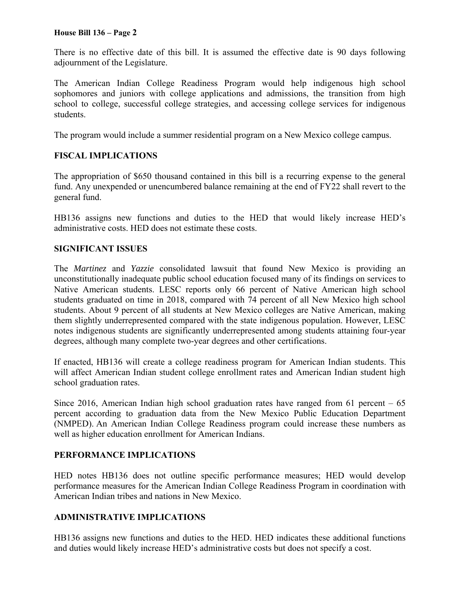### **House Bill 136 – Page 2**

There is no effective date of this bill. It is assumed the effective date is 90 days following adjournment of the Legislature.

The American Indian College Readiness Program would help indigenous high school sophomores and juniors with college applications and admissions, the transition from high school to college, successful college strategies, and accessing college services for indigenous students.

The program would include a summer residential program on a New Mexico college campus.

## **FISCAL IMPLICATIONS**

The appropriation of \$650 thousand contained in this bill is a recurring expense to the general fund. Any unexpended or unencumbered balance remaining at the end of FY22 shall revert to the general fund.

HB136 assigns new functions and duties to the HED that would likely increase HED's administrative costs. HED does not estimate these costs.

## **SIGNIFICANT ISSUES**

The *Martinez* and *Yazzie* consolidated lawsuit that found New Mexico is providing an unconstitutionally inadequate public school education focused many of its findings on services to Native American students. LESC reports only 66 percent of Native American high school students graduated on time in 2018, compared with 74 percent of all New Mexico high school students. About 9 percent of all students at New Mexico colleges are Native American, making them slightly underrepresented compared with the state indigenous population. However, LESC notes indigenous students are significantly underrepresented among students attaining four-year degrees, although many complete two-year degrees and other certifications.

If enacted, HB136 will create a college readiness program for American Indian students. This will affect American Indian student college enrollment rates and American Indian student high school graduation rates.

Since 2016, American Indian high school graduation rates have ranged from 61 percent – 65 percent according to graduation data from the New Mexico Public Education Department (NMPED). An American Indian College Readiness program could increase these numbers as well as higher education enrollment for American Indians.

### **PERFORMANCE IMPLICATIONS**

HED notes HB136 does not outline specific performance measures; HED would develop performance measures for the American Indian College Readiness Program in coordination with American Indian tribes and nations in New Mexico.

## **ADMINISTRATIVE IMPLICATIONS**

HB136 assigns new functions and duties to the HED. HED indicates these additional functions and duties would likely increase HED's administrative costs but does not specify a cost.